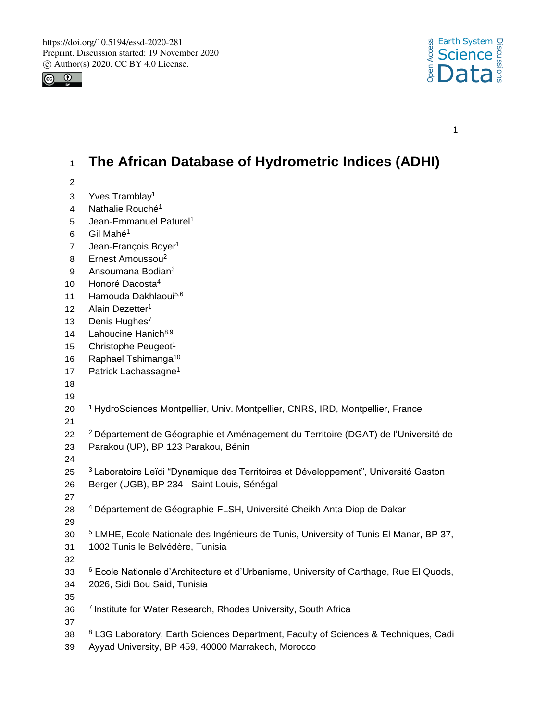



1

# <sup>1</sup> **The African Database of Hydrometric Indices (ADHI)**

- 2
- 3 Yves Tramblay<sup>1</sup>
- 4 Nathalie Rouché<sup>1</sup>
- 5 Jean-Emmanuel Paturel<sup>1</sup>
- $6$  Gil Mahé<sup>1</sup>
- 7 Jean-François Boyer<sup>1</sup>
- 8 Ernest Amoussou<sup>2</sup>
- 9 Ansoumana Bodian<sup>3</sup>
- 10 Honoré Dacosta<sup>4</sup>
- 11 Hamouda Dakhlaoui<sup>5,6</sup>
- 12 Alain Dezetter<sup>1</sup>
- 13 Denis Hughes<sup>7</sup>
- 14 Lahoucine Hanich<sup>8,9</sup>
- 15 Christophe Peugeot<sup>1</sup>
- 16 Raphael Tshimanga<sup>10</sup>
- 17 Patrick Lachassagne<sup>1</sup>
- 18
- 19
- 20 <sup>1</sup>HydroSciences Montpellier, Univ. Montpellier, CNRS, IRD, Montpellier, France
- 21
- 22 <sup>2</sup>Département de Géographie et Aménagement du Territoire (DGAT) de l'Université de 23 Parakou (UP), BP 123 Parakou, Bénin
- 24
- 25 <sup>3</sup> Laboratoire Leïdi "Dynamique des Territoires et Développement", Université Gaston
- 26 Berger (UGB), BP 234 Saint Louis, Sénégal
- 27
- 28 <sup>4</sup> Département de Géographie-FLSH, Université Cheikh Anta Diop de Dakar 29
- <sup>5</sup> 30 LMHE, Ecole Nationale des Ingénieurs de Tunis, University of Tunis El Manar, BP 37,
- 31 1002 Tunis le Belvédère, Tunisia
- 32
- <sup>6</sup> 33 Ecole Nationale d'Architecture et d'Urbanisme, University of Carthage, Rue El Quods,
- 34 2026, Sidi Bou Said, Tunisia
- 36 <sup>7</sup> Institute for Water Research, Rhodes University, South Africa
- 37

- 88 <sup>8</sup> L3G Laboratory, Earth Sciences Department, Faculty of Sciences & Techniques, Cadi
- 39 Ayyad University, BP 459, 40000 Marrakech, Morocco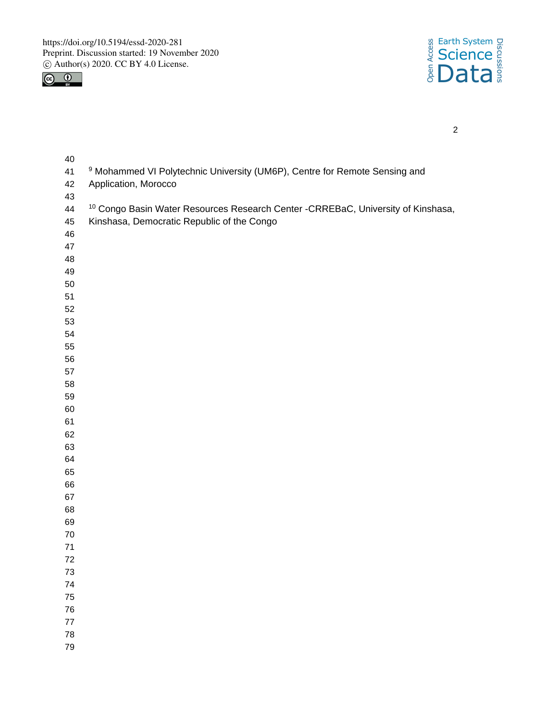



| 40      |                                                                                              |
|---------|----------------------------------------------------------------------------------------------|
| 41      | <sup>9</sup> Mohammed VI Polytechnic University (UM6P), Centre for Remote Sensing and        |
| 42      | Application, Morocco                                                                         |
| 43      |                                                                                              |
| 44      | <sup>10</sup> Congo Basin Water Resources Research Center - CRREBaC, University of Kinshasa, |
| 45      | Kinshasa, Democratic Republic of the Congo                                                   |
| 46      |                                                                                              |
| 47      |                                                                                              |
| 48      |                                                                                              |
| 49      |                                                                                              |
|         |                                                                                              |
| 50      |                                                                                              |
| 51      |                                                                                              |
| 52      |                                                                                              |
| 53      |                                                                                              |
| 54      |                                                                                              |
| 55      |                                                                                              |
| 56      |                                                                                              |
| 57      |                                                                                              |
| 58      |                                                                                              |
| 59      |                                                                                              |
| 60      |                                                                                              |
| 61      |                                                                                              |
| 62      |                                                                                              |
| 63      |                                                                                              |
| 64      |                                                                                              |
| 65      |                                                                                              |
| 66      |                                                                                              |
| 67      |                                                                                              |
| 68      |                                                                                              |
| 69      |                                                                                              |
| $70\,$  |                                                                                              |
| $71$    |                                                                                              |
| $72\,$  |                                                                                              |
| 73      |                                                                                              |
| 74      |                                                                                              |
| 75      |                                                                                              |
| 76      |                                                                                              |
| $77 \,$ |                                                                                              |
| 78      |                                                                                              |
| 79      |                                                                                              |
|         |                                                                                              |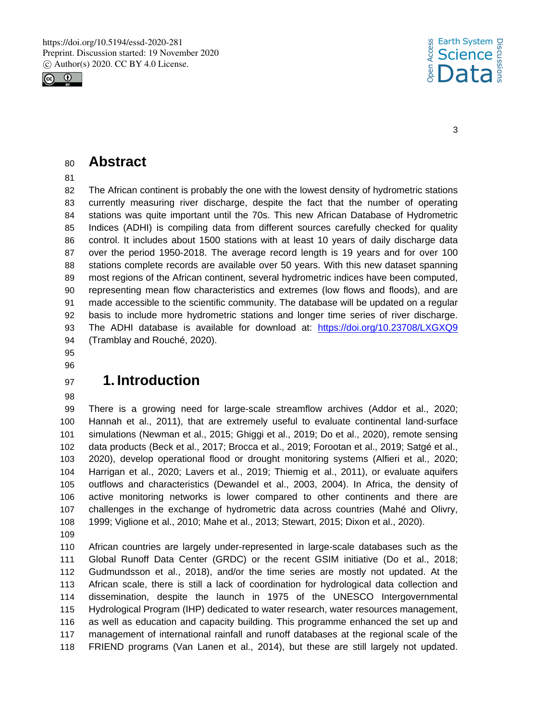



### **Abstract**

 The African continent is probably the one with the lowest density of hydrometric stations currently measuring river discharge, despite the fact that the number of operating stations was quite important until the 70s. This new African Database of Hydrometric Indices (ADHI) is compiling data from different sources carefully checked for quality control. It includes about 1500 stations with at least 10 years of daily discharge data over the period 1950-2018. The average record length is 19 years and for over 100 stations complete records are available over 50 years. With this new dataset spanning most regions of the African continent, several hydrometric indices have been computed, representing mean flow characteristics and extremes (low flows and floods), and are made accessible to the scientific community. The database will be updated on a regular basis to include more hydrometric stations and longer time series of river discharge. The ADHI database is available for download at: https://doi.org/10.23708/LXGXQ9 (Tramblay and Rouché, 2020).

### 

## **1. Introduction**

 There is a growing need for large-scale streamflow archives (Addor et al., 2020; Hannah et al., 2011), that are extremely useful to evaluate continental land-surface simulations (Newman et al., 2015; Ghiggi et al., 2019; Do et al., 2020), remote sensing data products (Beck et al., 2017; Brocca et al., 2019; Forootan et al., 2019; Satgé et al., 2020), develop operational flood or drought monitoring systems (Alfieri et al., 2020; Harrigan et al., 2020; Lavers et al., 2019; Thiemig et al., 2011), or evaluate aquifers outflows and characteristics (Dewandel et al., 2003, 2004). In Africa, the density of active monitoring networks is lower compared to other continents and there are challenges in the exchange of hydrometric data across countries (Mahé and Olivry, 1999; Viglione et al., 2010; Mahe et al., 2013; Stewart, 2015; Dixon et al., 2020).

 African countries are largely under-represented in large-scale databases such as the Global Runoff Data Center (GRDC) or the recent GSIM initiative (Do et al., 2018; Gudmundsson et al., 2018), and/or the time series are mostly not updated. At the African scale, there is still a lack of coordination for hydrological data collection and dissemination, despite the launch in 1975 of the UNESCO Intergovernmental Hydrological Program (IHP) dedicated to water research, water resources management, as well as education and capacity building. This programme enhanced the set up and management of international rainfall and runoff databases at the regional scale of the FRIEND programs (Van Lanen et al., 2014), but these are still largely not updated.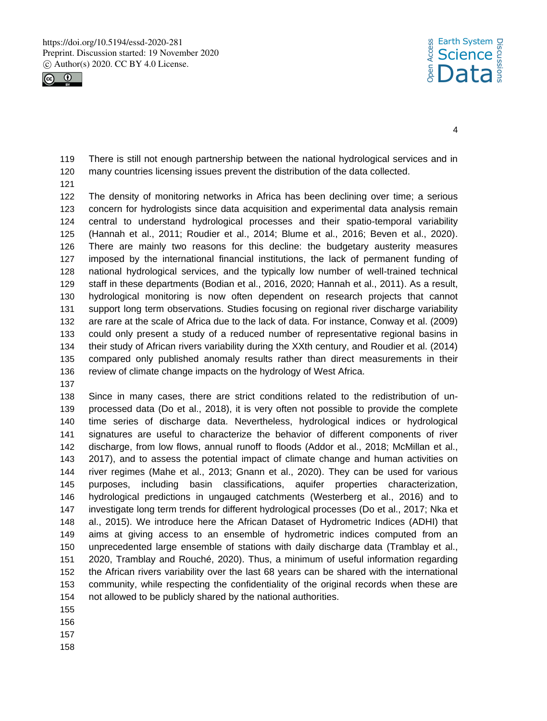



 There is still not enough partnership between the national hydrological services and in many countries licensing issues prevent the distribution of the data collected.

 The density of monitoring networks in Africa has been declining over time; a serious concern for hydrologists since data acquisition and experimental data analysis remain central to understand hydrological processes and their spatio-temporal variability (Hannah et al., 2011; Roudier et al., 2014; Blume et al., 2016; Beven et al., 2020). There are mainly two reasons for this decline: the budgetary austerity measures imposed by the international financial institutions, the lack of permanent funding of national hydrological services, and the typically low number of well-trained technical staff in these departments (Bodian et al., 2016, 2020; Hannah et al., 2011). As a result, hydrological monitoring is now often dependent on research projects that cannot support long term observations. Studies focusing on regional river discharge variability are rare at the scale of Africa due to the lack of data. For instance, Conway et al. (2009) could only present a study of a reduced number of representative regional basins in their study of African rivers variability during the XXth century, and Roudier et al. (2014) compared only published anomaly results rather than direct measurements in their review of climate change impacts on the hydrology of West Africa.

 Since in many cases, there are strict conditions related to the redistribution of un- processed data (Do et al., 2018), it is very often not possible to provide the complete time series of discharge data. Nevertheless, hydrological indices or hydrological signatures are useful to characterize the behavior of different components of river discharge, from low flows, annual runoff to floods (Addor et al., 2018; McMillan et al., 2017), and to assess the potential impact of climate change and human activities on river regimes (Mahe et al., 2013; Gnann et al., 2020). They can be used for various purposes, including basin classifications, aquifer properties characterization, hydrological predictions in ungauged catchments (Westerberg et al., 2016) and to investigate long term trends for different hydrological processes (Do et al., 2017; Nka et al., 2015). We introduce here the African Dataset of Hydrometric Indices (ADHI) that aims at giving access to an ensemble of hydrometric indices computed from an unprecedented large ensemble of stations with daily discharge data (Tramblay et al., 2020, Tramblay and Rouché, 2020). Thus, a minimum of useful information regarding the African rivers variability over the last 68 years can be shared with the international community, while respecting the confidentiality of the original records when these are not allowed to be publicly shared by the national authorities.

- 
-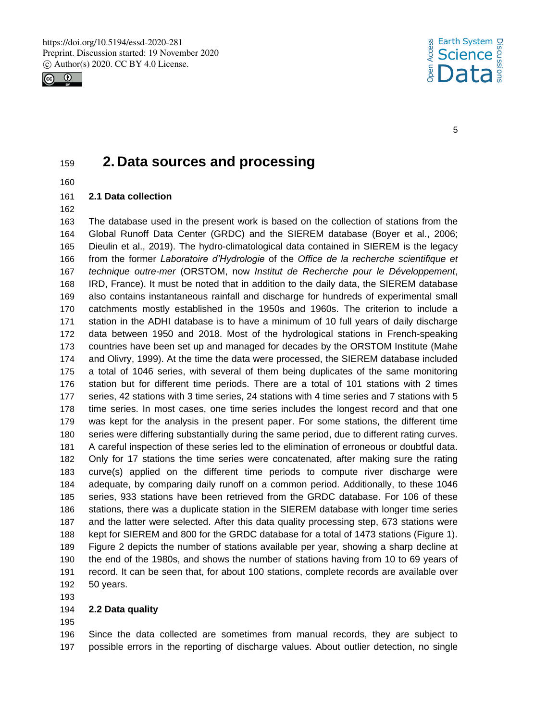



## **2. Data sources and processing**

### **2.1 Data collection**

 The database used in the present work is based on the collection of stations from the Global Runoff Data Center (GRDC) and the SIEREM database (Boyer et al., 2006; Dieulin et al., 2019). The hydro-climatological data contained in SIEREM is the legacy from the former *Laboratoire d'Hydrologie* of the *Office de la recherche scientifique et technique outre-mer* (ORSTOM, now *Institut de Recherche pour le Développement*, IRD, France). It must be noted that in addition to the daily data, the SIEREM database also contains instantaneous rainfall and discharge for hundreds of experimental small catchments mostly established in the 1950s and 1960s. The criterion to include a station in the ADHI database is to have a minimum of 10 full years of daily discharge data between 1950 and 2018. Most of the hydrological stations in French-speaking countries have been set up and managed for decades by the ORSTOM Institute (Mahe and Olivry, 1999). At the time the data were processed, the SIEREM database included a total of 1046 series, with several of them being duplicates of the same monitoring station but for different time periods. There are a total of 101 stations with 2 times series, 42 stations with 3 time series, 24 stations with 4 time series and 7 stations with 5 time series. In most cases, one time series includes the longest record and that one was kept for the analysis in the present paper. For some stations, the different time series were differing substantially during the same period, due to different rating curves. A careful inspection of these series led to the elimination of erroneous or doubtful data. Only for 17 stations the time series were concatenated, after making sure the rating curve(s) applied on the different time periods to compute river discharge were adequate, by comparing daily runoff on a common period. Additionally, to these 1046 series, 933 stations have been retrieved from the GRDC database. For 106 of these stations, there was a duplicate station in the SIEREM database with longer time series and the latter were selected. After this data quality processing step, 673 stations were kept for SIEREM and 800 for the GRDC database for a total of 1473 stations (Figure 1). Figure 2 depicts the number of stations available per year, showing a sharp decline at the end of the 1980s, and shows the number of stations having from 10 to 69 years of record. It can be seen that, for about 100 stations, complete records are available over 50 years.

#### **2.2 Data quality**

 Since the data collected are sometimes from manual records, they are subject to possible errors in the reporting of discharge values. About outlier detection, no single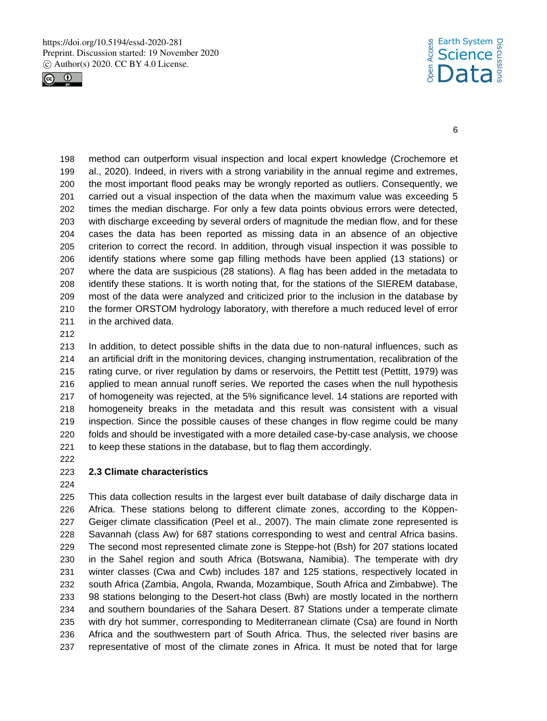



 method can outperform visual inspection and local expert knowledge (Crochemore et al., 2020). Indeed, in rivers with a strong variability in the annual regime and extremes, the most important flood peaks may be wrongly reported as outliers. Consequently, we carried out a visual inspection of the data when the maximum value was exceeding 5 times the median discharge. For only a few data points obvious errors were detected, with discharge exceeding by several orders of magnitude the median flow, and for these cases the data has been reported as missing data in an absence of an objective criterion to correct the record. In addition, through visual inspection it was possible to identify stations where some gap filling methods have been applied (13 stations) or where the data are suspicious (28 stations). A flag has been added in the metadata to identify these stations. It is worth noting that, for the stations of the SIEREM database, most of the data were analyzed and criticized prior to the inclusion in the database by the former ORSTOM hydrology laboratory, with therefore a much reduced level of error in the archived data.

 In addition, to detect possible shifts in the data due to non-natural influences, such as an artificial drift in the monitoring devices, changing instrumentation, recalibration of the rating curve, or river regulation by dams or reservoirs, the Pettitt test (Pettitt, 1979) was applied to mean annual runoff series. We reported the cases when the null hypothesis of homogeneity was rejected, at the 5% significance level. 14 stations are reported with homogeneity breaks in the metadata and this result was consistent with a visual inspection. Since the possible causes of these changes in flow regime could be many folds and should be investigated with a more detailed case-by-case analysis, we choose to keep these stations in the database, but to flag them accordingly.

#### **2.3 Climate characteristics**

 This data collection results in the largest ever built database of daily discharge data in Africa. These stations belong to different climate zones, according to the Köppen- Geiger climate classification (Peel et al., 2007). The main climate zone represented is Savannah (class Aw) for 687 stations corresponding to west and central Africa basins. The second most represented climate zone is Steppe-hot (Bsh) for 207 stations located in the Sahel region and south Africa (Botswana, Namibia). The temperate with dry winter classes (Cwa and Cwb) includes 187 and 125 stations, respectively located in south Africa (Zambia, Angola, Rwanda, Mozambique, South Africa and Zimbabwe). The 98 stations belonging to the Desert-hot class (Bwh) are mostly located in the northern and southern boundaries of the Sahara Desert. 87 Stations under a temperate climate with dry hot summer, corresponding to Mediterranean climate (Csa) are found in North Africa and the southwestern part of South Africa. Thus, the selected river basins are representative of most of the climate zones in Africa. It must be noted that for large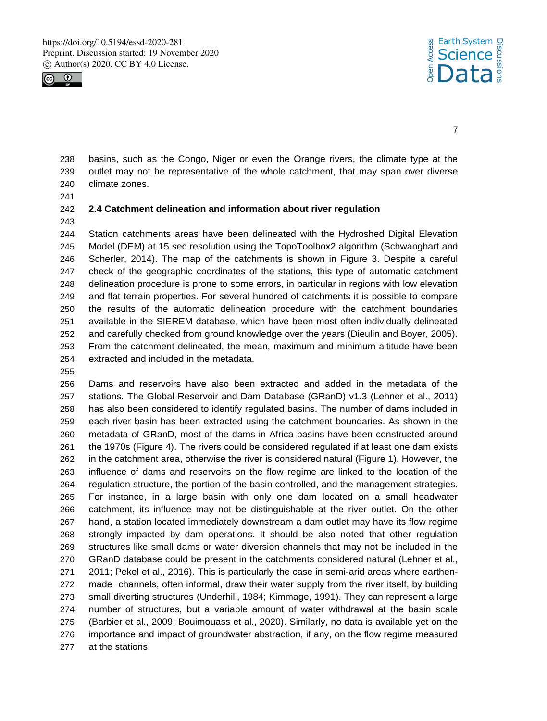



 basins, such as the Congo, Niger or even the Orange rivers, the climate type at the outlet may not be representative of the whole catchment, that may span over diverse climate zones.

#### **2.4 Catchment delineation and information about river regulation**

 Station catchments areas have been delineated with the Hydroshed Digital Elevation Model (DEM) at 15 sec resolution using the TopoToolbox2 algorithm (Schwanghart and Scherler, 2014). The map of the catchments is shown in Figure 3. Despite a careful check of the geographic coordinates of the stations, this type of automatic catchment delineation procedure is prone to some errors, in particular in regions with low elevation and flat terrain properties. For several hundred of catchments it is possible to compare the results of the automatic delineation procedure with the catchment boundaries available in the SIEREM database, which have been most often individually delineated and carefully checked from ground knowledge over the years (Dieulin and Boyer, 2005). From the catchment delineated, the mean, maximum and minimum altitude have been extracted and included in the metadata.

 Dams and reservoirs have also been extracted and added in the metadata of the stations. The Global Reservoir and Dam Database (GRanD) v1.3 (Lehner et al., 2011) has also been considered to identify regulated basins. The number of dams included in each river basin has been extracted using the catchment boundaries. As shown in the metadata of GRanD, most of the dams in Africa basins have been constructed around the 1970s (Figure 4). The rivers could be considered regulated if at least one dam exists in the catchment area, otherwise the river is considered natural (Figure 1). However, the influence of dams and reservoirs on the flow regime are linked to the location of the regulation structure, the portion of the basin controlled, and the management strategies. For instance, in a large basin with only one dam located on a small headwater catchment, its influence may not be distinguishable at the river outlet. On the other hand, a station located immediately downstream a dam outlet may have its flow regime strongly impacted by dam operations. It should be also noted that other regulation structures like small dams or water diversion channels that may not be included in the GRanD database could be present in the catchments considered natural (Lehner et al., 2011; Pekel et al., 2016). This is particularly the case in semi-arid areas where earthen- made channels, often informal, draw their water supply from the river itself, by building small diverting structures (Underhill, 1984; Kimmage, 1991). They can represent a large number of structures, but a variable amount of water withdrawal at the basin scale (Barbier et al., 2009; Bouimouass et al., 2020). Similarly, no data is available yet on the importance and impact of groundwater abstraction, if any, on the flow regime measured at the stations.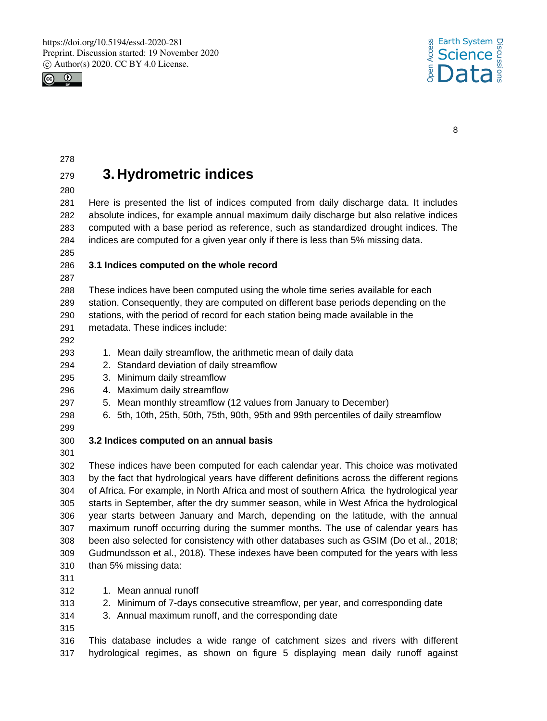



# **3. Hydrometric indices**

 Here is presented the list of indices computed from daily discharge data. It includes absolute indices, for example annual maximum daily discharge but also relative indices computed with a base period as reference, such as standardized drought indices. The indices are computed for a given year only if there is less than 5% missing data.

### **3.1 Indices computed on the whole record**

 These indices have been computed using the whole time series available for each station. Consequently, they are computed on different base periods depending on the stations, with the period of record for each station being made available in the

- metadata. These indices include:
- 

293 1. Mean daily streamflow, the arithmetic mean of daily data

- 2. Standard deviation of daily streamflow
- 3. Minimum daily streamflow
- 4. Maximum daily streamflow
- 5. Mean monthly streamflow (12 values from January to December)
- 6. 5th, 10th, 25th, 50th, 75th, 90th, 95th and 99th percentiles of daily streamflow
- 
- **3.2 Indices computed on an annual basis**
- 

 These indices have been computed for each calendar year. This choice was motivated by the fact that hydrological years have different definitions across the different regions of Africa. For example, in North Africa and most of southern Africa the hydrological year starts in September, after the dry summer season, while in West Africa the hydrological year starts between January and March, depending on the latitude, with the annual maximum runoff occurring during the summer months. The use of calendar years has been also selected for consistency with other databases such as GSIM (Do et al., 2018; Gudmundsson et al., 2018). These indexes have been computed for the years with less than 5% missing data:

- 1. Mean annual runoff
- 2. Minimum of 7-days consecutive streamflow, per year, and corresponding date
- 3. Annual maximum runoff, and the corresponding date
- 

 This database includes a wide range of catchment sizes and rivers with different hydrological regimes, as shown on figure 5 displaying mean daily runoff against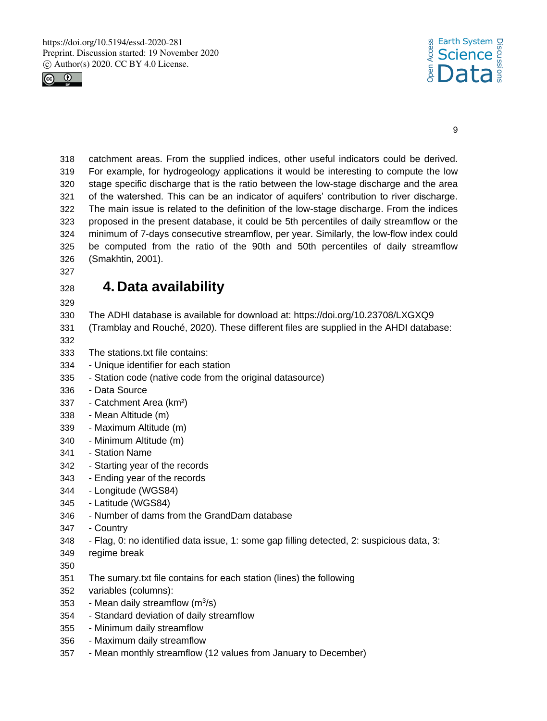



 catchment areas. From the supplied indices, other useful indicators could be derived. For example, for hydrogeology applications it would be interesting to compute the low stage specific discharge that is the ratio between the low-stage discharge and the area of the watershed. This can be an indicator of aquifers' contribution to river discharge. The main issue is related to the definition of the low-stage discharge. From the indices proposed in the present database, it could be 5th percentiles of daily streamflow or the minimum of 7-days consecutive streamflow, per year. Similarly, the low-flow index could be computed from the ratio of the 90th and 50th percentiles of daily streamflow (Smakhtin, 2001).

# **4. Data availability**

- The ADHI database is available for download at: https://doi.org/10.23708/LXGXQ9
- (Tramblay and Rouché, 2020). These different files are supplied in the AHDI database:
- 
- The stations.txt file contains:
- Unique identifier for each station
- Station code (native code from the original datasource)
- Data Source
- Catchment Area (km²)
- Mean Altitude (m)
- Maximum Altitude (m)
- Minimum Altitude (m)
- Station Name
- Starting year of the records
- Ending year of the records
- Longitude (WGS84)
- Latitude (WGS84)
- Number of dams from the GrandDam database
- Country
- Flag, 0: no identified data issue, 1: some gap filling detected, 2: suspicious data, 3:
- regime break
- 
- The sumary.txt file contains for each station (lines) the following
- variables (columns):
- 353 Mean daily streamflow  $(m^3/s)$
- Standard deviation of daily streamflow
- Minimum daily streamflow
- Maximum daily streamflow
- Mean monthly streamflow (12 values from January to December)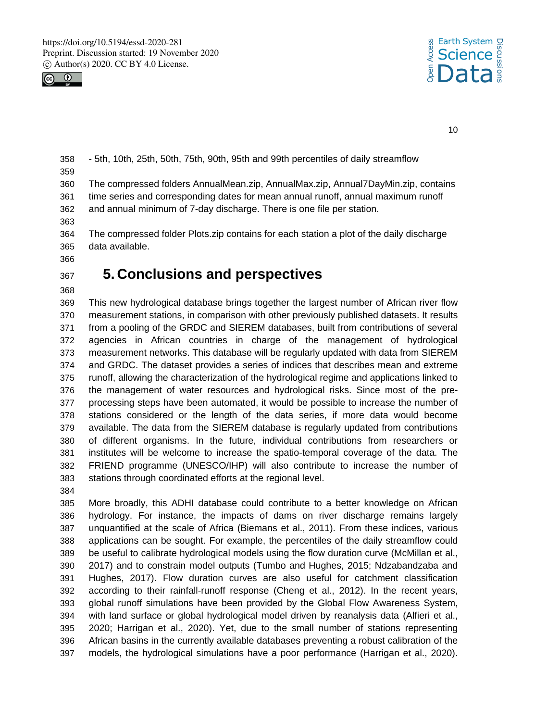



 - 5th, 10th, 25th, 50th, 75th, 90th, 95th and 99th percentiles of daily streamflow The compressed folders AnnualMean.zip, AnnualMax.zip, Annual7DayMin.zip, contains time series and corresponding dates for mean annual runoff, annual maximum runoff and annual minimum of 7-day discharge. There is one file per station. 

 The compressed folder Plots.zip contains for each station a plot of the daily discharge data available.

### **5. Conclusions and perspectives**

 This new hydrological database brings together the largest number of African river flow measurement stations, in comparison with other previously published datasets. It results from a pooling of the GRDC and SIEREM databases, built from contributions of several agencies in African countries in charge of the management of hydrological measurement networks. This database will be regularly updated with data from SIEREM and GRDC. The dataset provides a series of indices that describes mean and extreme runoff, allowing the characterization of the hydrological regime and applications linked to the management of water resources and hydrological risks. Since most of the pre- processing steps have been automated, it would be possible to increase the number of stations considered or the length of the data series, if more data would become available. The data from the SIEREM database is regularly updated from contributions of different organisms. In the future, individual contributions from researchers or institutes will be welcome to increase the spatio-temporal coverage of the data. The FRIEND programme (UNESCO/IHP) will also contribute to increase the number of stations through coordinated efforts at the regional level.

 More broadly, this ADHI database could contribute to a better knowledge on African hydrology. For instance, the impacts of dams on river discharge remains largely unquantified at the scale of Africa (Biemans et al., 2011). From these indices, various applications can be sought. For example, the percentiles of the daily streamflow could be useful to calibrate hydrological models using the flow duration curve (McMillan et al., 2017) and to constrain model outputs (Tumbo and Hughes, 2015; Ndzabandzaba and Hughes, 2017). Flow duration curves are also useful for catchment classification according to their rainfall-runoff response (Cheng et al., 2012). In the recent years, global runoff simulations have been provided by the Global Flow Awareness System, with land surface or global hydrological model driven by reanalysis data (Alfieri et al., 2020; Harrigan et al., 2020). Yet, due to the small number of stations representing African basins in the currently available databases preventing a robust calibration of the models, the hydrological simulations have a poor performance (Harrigan et al., 2020).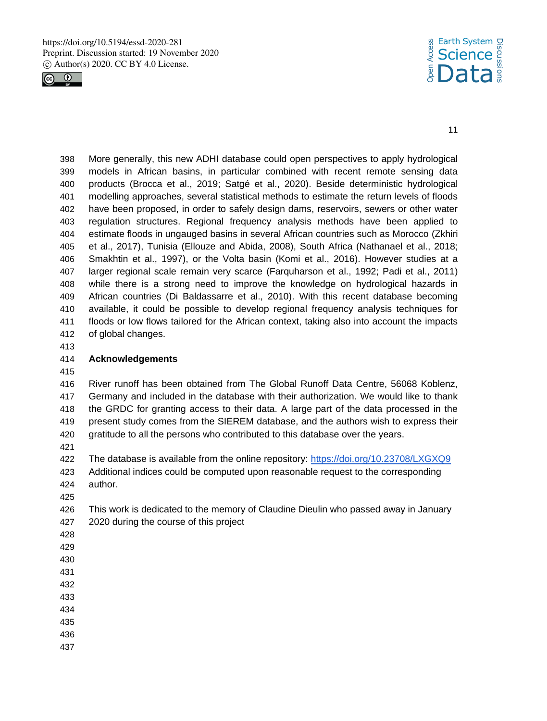



 More generally, this new ADHI database could open perspectives to apply hydrological models in African basins, in particular combined with recent remote sensing data products (Brocca et al., 2019; Satgé et al., 2020). Beside deterministic hydrological modelling approaches, several statistical methods to estimate the return levels of floods have been proposed, in order to safely design dams, reservoirs, sewers or other water regulation structures. Regional frequency analysis methods have been applied to estimate floods in ungauged basins in several African countries such as Morocco (Zkhiri et al., 2017), Tunisia (Ellouze and Abida, 2008), South Africa (Nathanael et al., 2018; Smakhtin et al., 1997), or the Volta basin (Komi et al., 2016). However studies at a larger regional scale remain very scarce (Farquharson et al., 1992; Padi et al., 2011) while there is a strong need to improve the knowledge on hydrological hazards in African countries (Di Baldassarre et al., 2010). With this recent database becoming available, it could be possible to develop regional frequency analysis techniques for floods or low flows tailored for the African context, taking also into account the impacts of global changes.

#### **Acknowledgements**

 River runoff has been obtained from The Global Runoff Data Centre, 56068 Koblenz, Germany and included in the database with their authorization. We would like to thank the GRDC for granting access to their data. A large part of the data processed in the present study comes from the SIEREM database, and the authors wish to express their gratitude to all the persons who contributed to this database over the years.

The database is available from the online repository: https://doi.org/10.23708/LXGXQ9

- Additional indices could be computed upon reasonable request to the corresponding author.
- 

 This work is dedicated to the memory of Claudine Dieulin who passed away in January 2020 during the course of this project

- 
- 
- 
- 
- 
- 
- 
- 
-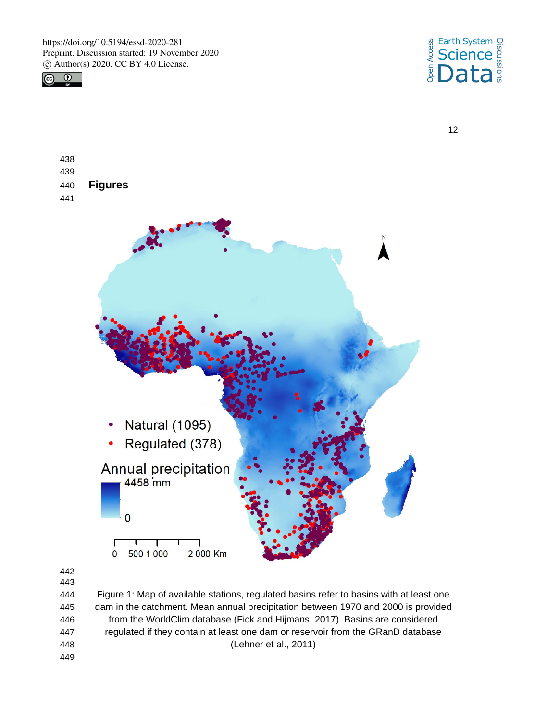



| 439 |                                   |           |
|-----|-----------------------------------|-----------|
| 440 | <b>Figures</b>                    |           |
| 441 |                                   |           |
|     |                                   | ${\bf N}$ |
|     |                                   |           |
|     |                                   |           |
|     |                                   |           |
|     |                                   |           |
|     | Natural (1095)                    |           |
|     | Regulated (378)                   |           |
|     | Annual precipitation              |           |
|     | $\mathbf 0$                       |           |
|     | 500 1 000<br>2 000 Km<br>$\bf{0}$ |           |

 

 Figure 1: Map of available stations, regulated basins refer to basins with at least one dam in the catchment. Mean annual precipitation between 1970 and 2000 is provided from the WorldClim database (Fick and Hijmans, 2017). Basins are considered regulated if they contain at least one dam or reservoir from the GRanD database (Lehner et al., 2011)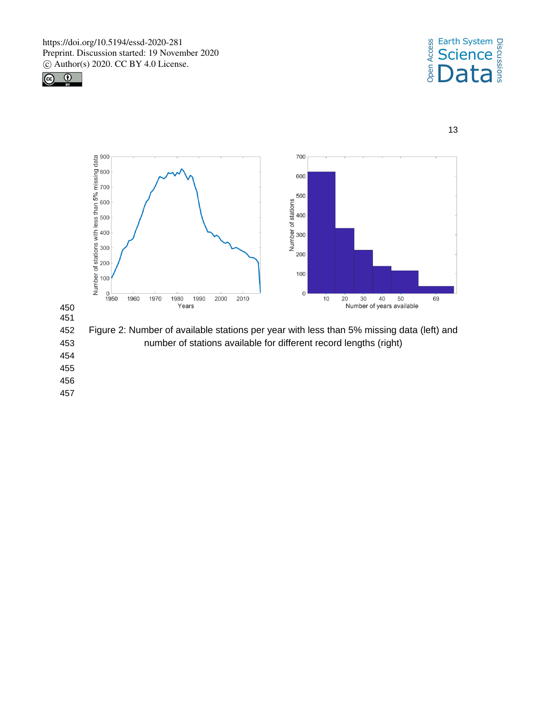







454

455

456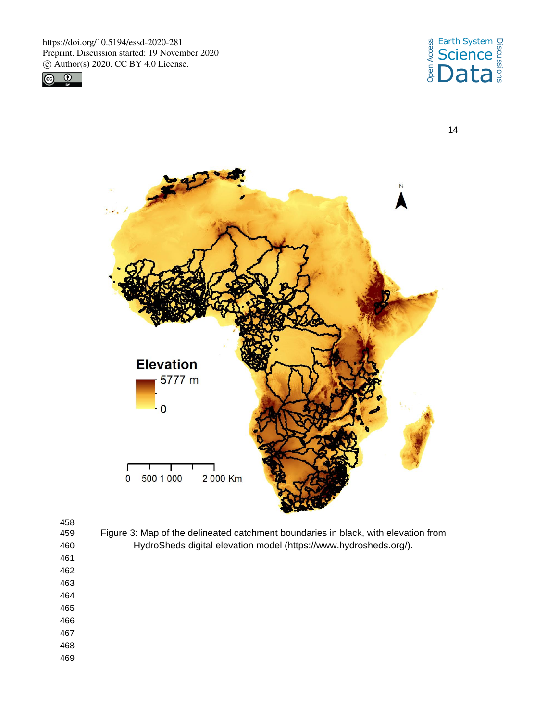



14



458<br>459

- Figure 3: Map of the delineated catchment boundaries in black, with elevation from 460 HydroSheds digital elevation model (https://www.hydrosheds.org/).
- 461 462
- 463 464
- 465
- 466
- 467
- 468
- 469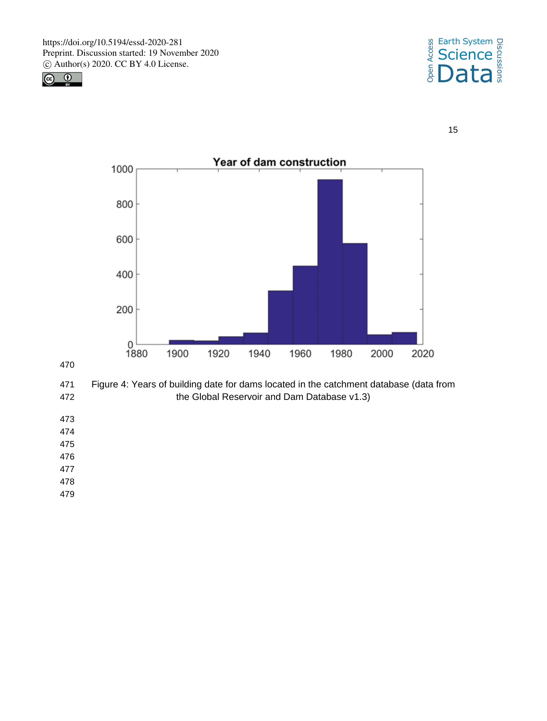







 Figure 4: Years of building date for dams located in the catchment database (data from the Global Reservoir and Dam Database v1.3)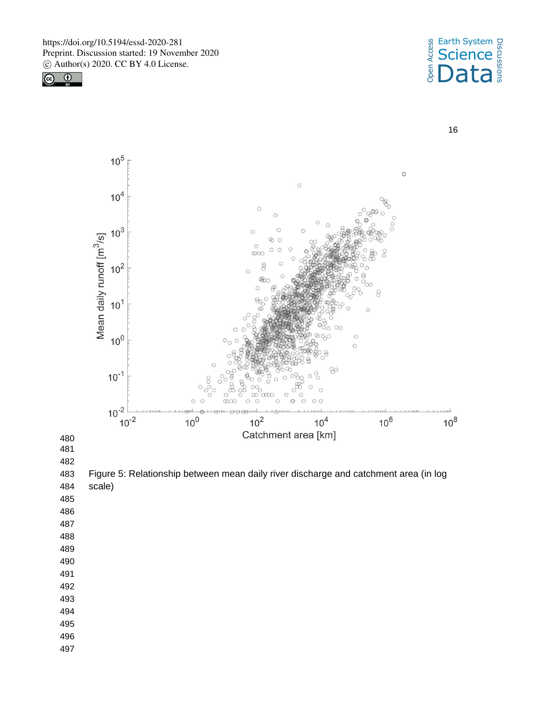



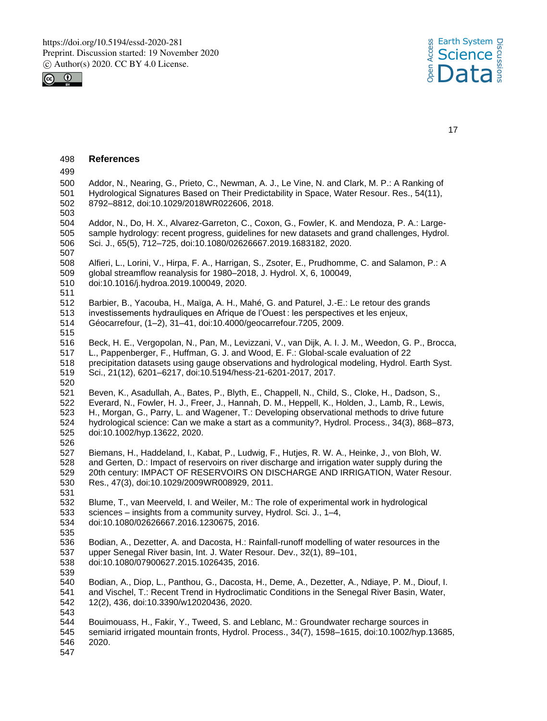



| 498               | <b>References</b>                                                                                                                                                                                                                                                 |
|-------------------|-------------------------------------------------------------------------------------------------------------------------------------------------------------------------------------------------------------------------------------------------------------------|
| 499               |                                                                                                                                                                                                                                                                   |
| 500<br>501<br>502 | Addor, N., Nearing, G., Prieto, C., Newman, A. J., Le Vine, N. and Clark, M. P.: A Ranking of<br>Hydrological Signatures Based on Their Predictability in Space, Water Resour. Res., 54(11),<br>8792-8812, doi:10.1029/2018WR022606, 2018.                        |
| 503               |                                                                                                                                                                                                                                                                   |
| 504<br>505<br>506 | Addor, N., Do, H. X., Alvarez-Garreton, C., Coxon, G., Fowler, K. and Mendoza, P. A.: Large-<br>sample hydrology: recent progress, guidelines for new datasets and grand challenges, Hydrol.<br>Sci. J., 65(5), 712-725, doi:10.1080/02626667.2019.1683182, 2020. |
| 507               |                                                                                                                                                                                                                                                                   |
| 508               | Alfieri, L., Lorini, V., Hirpa, F. A., Harrigan, S., Zsoter, E., Prudhomme, C. and Salamon, P.: A                                                                                                                                                                 |
| 509               | global streamflow reanalysis for 1980-2018, J. Hydrol. X, 6, 100049,                                                                                                                                                                                              |
| 510               | doi:10.1016/j.hydroa.2019.100049, 2020.                                                                                                                                                                                                                           |
| 511               |                                                                                                                                                                                                                                                                   |
| 512               | Barbier, B., Yacouba, H., Maïga, A. H., Mahé, G. and Paturel, J.-E.: Le retour des grands                                                                                                                                                                         |
| 513               | investissements hydrauliques en Afrique de l'Ouest : les perspectives et les enjeux,                                                                                                                                                                              |
| 514               | Géocarrefour, (1-2), 31-41, doi:10.4000/geocarrefour.7205, 2009.                                                                                                                                                                                                  |
| 515               |                                                                                                                                                                                                                                                                   |
| 516               | Beck, H. E., Vergopolan, N., Pan, M., Levizzani, V., van Dijk, A. I. J. M., Weedon, G. P., Brocca,                                                                                                                                                                |
| 517               | L., Pappenberger, F., Huffman, G. J. and Wood, E. F.: Global-scale evaluation of 22                                                                                                                                                                               |
| 518               | precipitation datasets using gauge observations and hydrological modeling, Hydrol. Earth Syst.                                                                                                                                                                    |
| 519               | Sci., 21(12), 6201-6217, doi:10.5194/hess-21-6201-2017, 2017.                                                                                                                                                                                                     |
| 520               |                                                                                                                                                                                                                                                                   |
| 521               | Beven, K., Asadullah, A., Bates, P., Blyth, E., Chappell, N., Child, S., Cloke, H., Dadson, S.,                                                                                                                                                                   |
| 522               | Everard, N., Fowler, H. J., Freer, J., Hannah, D. M., Heppell, K., Holden, J., Lamb, R., Lewis,                                                                                                                                                                   |
| 523               | H., Morgan, G., Parry, L. and Wagener, T.: Developing observational methods to drive future                                                                                                                                                                       |
| 524               | hydrological science: Can we make a start as a community?, Hydrol. Process., 34(3), 868–873,                                                                                                                                                                      |
| 525               | doi:10.1002/hyp.13622, 2020.                                                                                                                                                                                                                                      |
| 526               |                                                                                                                                                                                                                                                                   |
| 527               | Biemans, H., Haddeland, I., Kabat, P., Ludwig, F., Hutjes, R. W. A., Heinke, J., von Bloh, W.                                                                                                                                                                     |
| 528               | and Gerten, D.: Impact of reservoirs on river discharge and irrigation water supply during the                                                                                                                                                                    |
| 529               | 20th century: IMPACT OF RESERVOIRS ON DISCHARGE AND IRRIGATION, Water Resour.                                                                                                                                                                                     |
| 530               | Res., 47(3), doi:10.1029/2009WR008929, 2011.                                                                                                                                                                                                                      |
| 531               |                                                                                                                                                                                                                                                                   |
| 532               | Blume, T., van Meerveld, I. and Weiler, M.: The role of experimental work in hydrological                                                                                                                                                                         |
| 533               | sciences - insights from a community survey, Hydrol. Sci. J., 1-4,                                                                                                                                                                                                |
| 534               | doi:10.1080/02626667.2016.1230675, 2016.                                                                                                                                                                                                                          |
| 535               |                                                                                                                                                                                                                                                                   |
| 536               | Bodian, A., Dezetter, A. and Dacosta, H.: Rainfall-runoff modelling of water resources in the                                                                                                                                                                     |
| 537               | upper Senegal River basin, Int. J. Water Resour. Dev., 32(1), 89-101,                                                                                                                                                                                             |
| 538               | doi:10.1080/07900627.2015.1026435, 2016.                                                                                                                                                                                                                          |
| 539               |                                                                                                                                                                                                                                                                   |
| 540               | Bodian, A., Diop, L., Panthou, G., Dacosta, H., Deme, A., Dezetter, A., Ndiaye, P. M., Diouf, I.                                                                                                                                                                  |
| 541               | and Vischel, T.: Recent Trend in Hydroclimatic Conditions in the Senegal River Basin, Water,                                                                                                                                                                      |
| 542               | 12(2), 436, doi:10.3390/w12020436, 2020.                                                                                                                                                                                                                          |
| 543               |                                                                                                                                                                                                                                                                   |
| 544               | Bouimouass, H., Fakir, Y., Tweed, S. and Leblanc, M.: Groundwater recharge sources in                                                                                                                                                                             |
| 545               | semiarid irrigated mountain fronts, Hydrol. Process., 34(7), 1598-1615, doi:10.1002/hyp.13685,                                                                                                                                                                    |
| 546               | 2020.                                                                                                                                                                                                                                                             |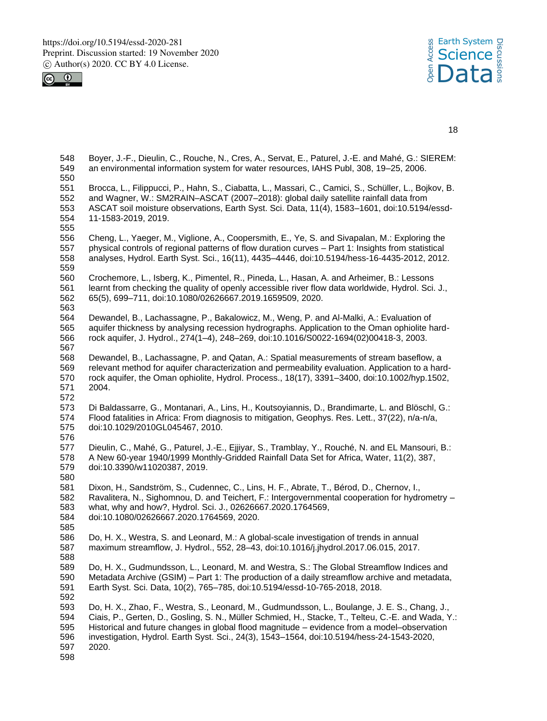



 Boyer, J.-F., Dieulin, C., Rouche, N., Cres, A., Servat, E., Paturel, J.-E. and Mahé, G.: SIEREM: an environmental information system for water resources, IAHS Publ, 308, 19–25, 2006. Brocca, L., Filippucci, P., Hahn, S., Ciabatta, L., Massari, C., Camici, S., Schüller, L., Bojkov, B. and Wagner, W.: SM2RAIN–ASCAT (2007–2018): global daily satellite rainfall data from ASCAT soil moisture observations, Earth Syst. Sci. Data, 11(4), 1583–1601, doi:10.5194/essd- 11-1583-2019, 2019. Cheng, L., Yaeger, M., Viglione, A., Coopersmith, E., Ye, S. and Sivapalan, M.: Exploring the physical controls of regional patterns of flow duration curves – Part 1: Insights from statistical analyses, Hydrol. Earth Syst. Sci., 16(11), 4435–4446, doi:10.5194/hess-16-4435-2012, 2012. Crochemore, L., Isberg, K., Pimentel, R., Pineda, L., Hasan, A. and Arheimer, B.: Lessons learnt from checking the quality of openly accessible river flow data worldwide, Hydrol. Sci. J., 65(5), 699–711, doi:10.1080/02626667.2019.1659509, 2020. Dewandel, B., Lachassagne, P., Bakalowicz, M., Weng, P. and Al-Malki, A.: Evaluation of aquifer thickness by analysing recession hydrographs. Application to the Oman ophiolite hard- rock aquifer, J. Hydrol., 274(1–4), 248–269, doi:10.1016/S0022-1694(02)00418-3, 2003. Dewandel, B., Lachassagne, P. and Qatan, A.: Spatial measurements of stream baseflow, a relevant method for aquifer characterization and permeability evaluation. Application to a hard- rock aquifer, the Oman ophiolite, Hydrol. Process., 18(17), 3391–3400, doi:10.1002/hyp.1502, 2004. Di Baldassarre, G., Montanari, A., Lins, H., Koutsoyiannis, D., Brandimarte, L. and Blöschl, G.: Flood fatalities in Africa: From diagnosis to mitigation, Geophys. Res. Lett., 37(22), n/a-n/a, doi:10.1029/2010GL045467, 2010. Dieulin, C., Mahé, G., Paturel, J.-E., Ejjiyar, S., Tramblay, Y., Rouché, N. and EL Mansouri, B.: A New 60-year 1940/1999 Monthly-Gridded Rainfall Data Set for Africa, Water, 11(2), 387, doi:10.3390/w11020387, 2019. Dixon, H., Sandström, S., Cudennec, C., Lins, H. F., Abrate, T., Bérod, D., Chernov, I., Ravalitera, N., Sighomnou, D. and Teichert, F.: Intergovernmental cooperation for hydrometry – what, why and how?, Hydrol. Sci. J., 02626667.2020.1764569, doi:10.1080/02626667.2020.1764569, 2020. Do, H. X., Westra, S. and Leonard, M.: A global-scale investigation of trends in annual maximum streamflow, J. Hydrol., 552, 28–43, doi:10.1016/j.jhydrol.2017.06.015, 2017. Do, H. X., Gudmundsson, L., Leonard, M. and Westra, S.: The Global Streamflow Indices and Metadata Archive (GSIM) – Part 1: The production of a daily streamflow archive and metadata, Earth Syst. Sci. Data, 10(2), 765–785, doi:10.5194/essd-10-765-2018, 2018. Do, H. X., Zhao, F., Westra, S., Leonard, M., Gudmundsson, L., Boulange, J. E. S., Chang, J., Ciais, P., Gerten, D., Gosling, S. N., Müller Schmied, H., Stacke, T., Telteu, C.-E. and Wada, Y.: Historical and future changes in global flood magnitude – evidence from a model–observation investigation, Hydrol. Earth Syst. Sci., 24(3), 1543–1564, doi:10.5194/hess-24-1543-2020, 2020.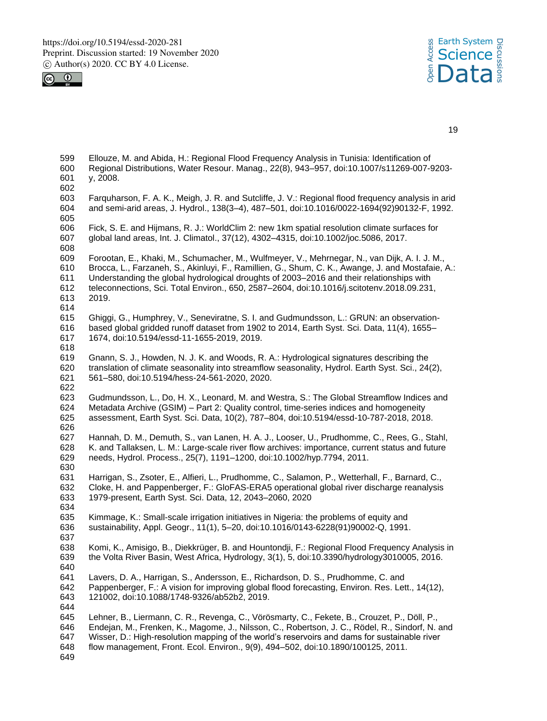



| 599<br>600<br>601<br>602               | Ellouze, M. and Abida, H.: Regional Flood Frequency Analysis in Tunisia: Identification of<br>Regional Distributions, Water Resour. Manag., 22(8), 943-957, doi:10.1007/s11269-007-9203-<br>y, 2008.                                                                                                                                                                                                  |
|----------------------------------------|-------------------------------------------------------------------------------------------------------------------------------------------------------------------------------------------------------------------------------------------------------------------------------------------------------------------------------------------------------------------------------------------------------|
| 603<br>604<br>605                      | Farguharson, F. A. K., Meigh, J. R. and Sutcliffe, J. V.: Regional flood frequency analysis in arid<br>and semi-arid areas, J. Hydrol., 138(3-4), 487-501, doi:10.1016/0022-1694(92)90132-F, 1992.                                                                                                                                                                                                    |
| 606<br>607<br>608                      | Fick, S. E. and Hijmans, R. J.: WorldClim 2: new 1km spatial resolution climate surfaces for<br>global land areas, Int. J. Climatol., 37(12), 4302-4315, doi:10.1002/joc.5086, 2017.                                                                                                                                                                                                                  |
| 609<br>610<br>611<br>612<br>613<br>614 | Forootan, E., Khaki, M., Schumacher, M., Wulfmeyer, V., Mehrnegar, N., van Dijk, A. I. J. M.,<br>Brocca, L., Farzaneh, S., Akinluyi, F., Ramillien, G., Shum, C. K., Awange, J. and Mostafaie, A.:<br>Understanding the global hydrological droughts of 2003-2016 and their relationships with<br>teleconnections, Sci. Total Environ., 650, 2587-2604, doi:10.1016/j.scitotenv.2018.09.231,<br>2019. |
| 615<br>616<br>617<br>618               | Ghiggi, G., Humphrey, V., Seneviratne, S. I. and Gudmundsson, L.: GRUN: an observation-<br>based global gridded runoff dataset from 1902 to 2014, Earth Syst. Sci. Data, 11(4), 1655-<br>1674, doi:10.5194/essd-11-1655-2019, 2019.                                                                                                                                                                   |
| 619<br>620<br>621<br>622               | Gnann, S. J., Howden, N. J. K. and Woods, R. A.: Hydrological signatures describing the<br>translation of climate seasonality into streamflow seasonality, Hydrol. Earth Syst. Sci., 24(2),<br>561-580, doi:10.5194/hess-24-561-2020, 2020.                                                                                                                                                           |
| 623<br>624<br>625<br>626               | Gudmundsson, L., Do, H. X., Leonard, M. and Westra, S.: The Global Streamflow Indices and<br>Metadata Archive (GSIM) – Part 2: Quality control, time-series indices and homogeneity<br>assessment, Earth Syst. Sci. Data, 10(2), 787-804, doi:10.5194/essd-10-787-2018, 2018.                                                                                                                         |
| 627<br>628<br>629<br>630               | Hannah, D. M., Demuth, S., van Lanen, H. A. J., Looser, U., Prudhomme, C., Rees, G., Stahl,<br>K. and Tallaksen, L. M.: Large-scale river flow archives: importance, current status and future<br>needs, Hydrol. Process., 25(7), 1191-1200, doi:10.1002/hyp.7794, 2011.                                                                                                                              |
| 631<br>632<br>633                      | Harrigan, S., Zsoter, E., Alfieri, L., Prudhomme, C., Salamon, P., Wetterhall, F., Barnard, C.,<br>Cloke, H. and Pappenberger, F.: GloFAS-ERA5 operational global river discharge reanalysis<br>1979-present, Earth Syst. Sci. Data, 12, 2043-2060, 2020                                                                                                                                              |
| 634<br>635<br>636<br>637               | Kimmage, K.: Small-scale irrigation initiatives in Nigeria: the problems of equity and<br>sustainability, Appl. Geogr., 11(1), 5-20, doi:10.1016/0143-6228(91)90002-Q, 1991.                                                                                                                                                                                                                          |
| 638<br>639<br>640                      | Komi, K., Amisigo, B., Diekkrüger, B. and Hountondji, F.: Regional Flood Frequency Analysis in<br>the Volta River Basin, West Africa, Hydrology, 3(1), 5, doi:10.3390/hydrology3010005, 2016.                                                                                                                                                                                                         |
| 641<br>642<br>643<br>644               | Lavers, D. A., Harrigan, S., Andersson, E., Richardson, D. S., Prudhomme, C. and<br>Pappenberger, F.: A vision for improving global flood forecasting, Environ. Res. Lett., 14(12),<br>121002, doi:10.1088/1748-9326/ab52b2, 2019.                                                                                                                                                                    |
| 645<br>646<br>647<br>648<br>649        | Lehner, B., Liermann, C. R., Revenga, C., Vörösmarty, C., Fekete, B., Crouzet, P., Döll, P.,<br>Endejan, M., Frenken, K., Magome, J., Nilsson, C., Robertson, J. C., Rödel, R., Sindorf, N. and<br>Wisser, D.: High-resolution mapping of the world's reservoirs and dams for sustainable river<br>flow management, Front. Ecol. Environ., 9(9), 494-502, doi:10.1890/100125, 2011.                   |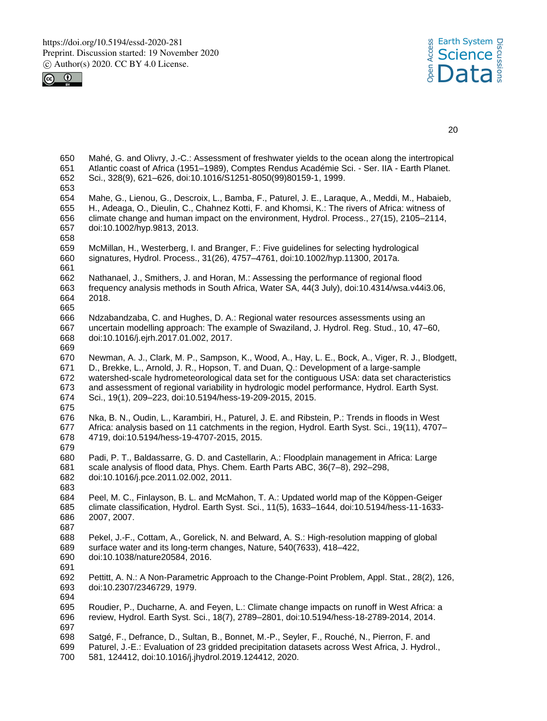



 Mahé, G. and Olivry, J.-C.: Assessment of freshwater yields to the ocean along the intertropical Atlantic coast of Africa (1951–1989), Comptes Rendus Académie Sci. - Ser. IIA - Earth Planet. Sci., 328(9), 621–626, doi:10.1016/S1251-8050(99)80159-1, 1999. Mahe, G., Lienou, G., Descroix, L., Bamba, F., Paturel, J. E., Laraque, A., Meddi, M., Habaieb, H., Adeaga, O., Dieulin, C., Chahnez Kotti, F. and Khomsi, K.: The rivers of Africa: witness of climate change and human impact on the environment, Hydrol. Process., 27(15), 2105–2114, doi:10.1002/hyp.9813, 2013. McMillan, H., Westerberg, I. and Branger, F.: Five guidelines for selecting hydrological signatures, Hydrol. Process., 31(26), 4757–4761, doi:10.1002/hyp.11300, 2017a. Nathanael, J., Smithers, J. and Horan, M.: Assessing the performance of regional flood frequency analysis methods in South Africa, Water SA, 44(3 July), doi:10.4314/wsa.v44i3.06, 2018. Ndzabandzaba, C. and Hughes, D. A.: Regional water resources assessments using an uncertain modelling approach: The example of Swaziland, J. Hydrol. Reg. Stud., 10, 47–60, doi:10.1016/j.ejrh.2017.01.002, 2017. Newman, A. J., Clark, M. P., Sampson, K., Wood, A., Hay, L. E., Bock, A., Viger, R. J., Blodgett, D., Brekke, L., Arnold, J. R., Hopson, T. and Duan, Q.: Development of a large-sample watershed-scale hydrometeorological data set for the contiguous USA: data set characteristics and assessment of regional variability in hydrologic model performance, Hydrol. Earth Syst. Sci., 19(1), 209–223, doi:10.5194/hess-19-209-2015, 2015. Nka, B. N., Oudin, L., Karambiri, H., Paturel, J. E. and Ribstein, P.: Trends in floods in West Africa: analysis based on 11 catchments in the region, Hydrol. Earth Syst. Sci., 19(11), 4707– 4719, doi:10.5194/hess-19-4707-2015, 2015. Padi, P. T., Baldassarre, G. D. and Castellarin, A.: Floodplain management in Africa: Large scale analysis of flood data, Phys. Chem. Earth Parts ABC, 36(7–8), 292–298, doi:10.1016/j.pce.2011.02.002, 2011. Peel, M. C., Finlayson, B. L. and McMahon, T. A.: Updated world map of the Köppen-Geiger climate classification, Hydrol. Earth Syst. Sci., 11(5), 1633–1644, doi:10.5194/hess-11-1633- 2007, 2007. Pekel, J.-F., Cottam, A., Gorelick, N. and Belward, A. S.: High-resolution mapping of global surface water and its long-term changes, Nature, 540(7633), 418–422, doi:10.1038/nature20584, 2016. Pettitt, A. N.: A Non-Parametric Approach to the Change-Point Problem, Appl. Stat., 28(2), 126, doi:10.2307/2346729, 1979. Roudier, P., Ducharne, A. and Feyen, L.: Climate change impacts on runoff in West Africa: a review, Hydrol. Earth Syst. Sci., 18(7), 2789–2801, doi:10.5194/hess-18-2789-2014, 2014. Satgé, F., Defrance, D., Sultan, B., Bonnet, M.-P., Seyler, F., Rouché, N., Pierron, F. and Paturel, J.-E.: Evaluation of 23 gridded precipitation datasets across West Africa, J. Hydrol.,

581, 124412, doi:10.1016/j.jhydrol.2019.124412, 2020.